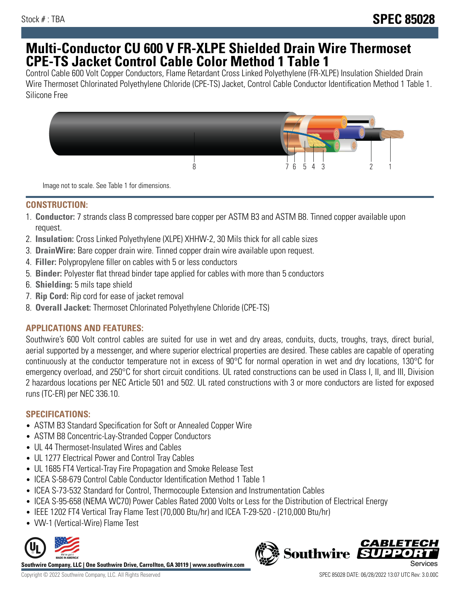# **Multi-Conductor CU 600 V FR-XLPE Shielded Drain Wire Thermoset CPE-TS Jacket Control Cable Color Method 1 Table 1**

Control Cable 600 Volt Copper Conductors, Flame Retardant Cross Linked Polyethylene (FR-XLPE) Insulation Shielded Drain Wire Thermoset Chlorinated Polyethylene Chloride (CPE-TS) Jacket, Control Cable Conductor Identification Method 1 Table 1. Silicone Free



Image not to scale. See Table 1 for dimensions.

#### **CONSTRUCTION:**

- 1. **Conductor:** 7 strands class B compressed bare copper per ASTM B3 and ASTM B8. Tinned copper available upon request.
- 2. **Insulation:** Cross Linked Polyethylene (XLPE) XHHW-2, 30 Mils thick for all cable sizes
- 3. **DrainWire:** Bare copper drain wire. Tinned copper drain wire available upon request.
- 4. **Filler:** Polypropylene filler on cables with 5 or less conductors
- 5. **Binder:** Polyester flat thread binder tape applied for cables with more than 5 conductors
- 6. **Shielding:** 5 mils tape shield
- 7. **Rip Cord:** Rip cord for ease of jacket removal
- 8. **Overall Jacket:** Thermoset Chlorinated Polyethylene Chloride (CPE-TS)

# **APPLICATIONS AND FEATURES:**

Southwire's 600 Volt control cables are suited for use in wet and dry areas, conduits, ducts, troughs, trays, direct burial, aerial supported by a messenger, and where superior electrical properties are desired. These cables are capable of operating continuously at the conductor temperature not in excess of 90°C for normal operation in wet and dry locations, 130°C for emergency overload, and 250°C for short circuit conditions. UL rated constructions can be used in Class I, II, and III, Division 2 hazardous locations per NEC Article 501 and 502. UL rated constructions with 3 or more conductors are listed for exposed runs (TC-ER) per NEC 336.10.

# **SPECIFICATIONS:**

- ASTM B3 Standard Specification for Soft or Annealed Copper Wire
- ASTM B8 Concentric-Lay-Stranded Copper Conductors
- UL 44 Thermoset-Insulated Wires and Cables
- UL 1277 Electrical Power and Control Tray Cables
- UL 1685 FT4 Vertical-Tray Fire Propagation and Smoke Release Test
- ICEA S-58-679 Control Cable Conductor Identification Method 1 Table 1
- ICEA S-73-532 Standard for Control, Thermocouple Extension and Instrumentation Cables
- ICEA S-95-658 (NEMA WC70) Power Cables Rated 2000 Volts or Less for the Distribution of Electrical Energy
- IEEE 1202 FT4 Vertical Tray Flame Test (70,000 Btu/hr) and ICEA T-29-520 (210,000 Btu/hr)
- VW-1 (Vertical-Wire) Flame Test



**Southwire Company, LLC | One Southwire Drive, Carrollton, GA 30119 | www.southwire.com**

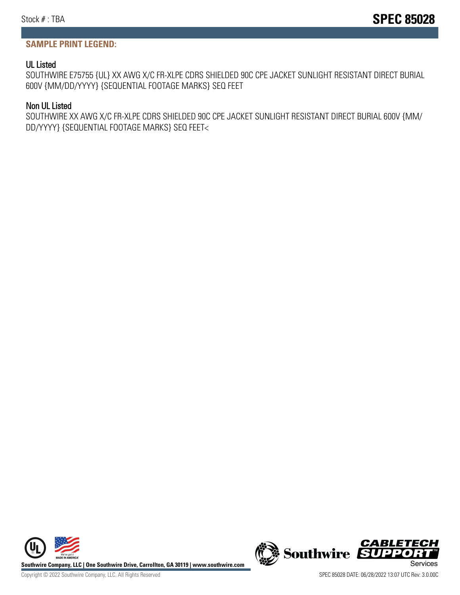#### **SAMPLE PRINT LEGEND:**

#### UL Listed

SOUTHWIRE E75755 {UL} XX AWG X/C FR-XLPE CDRS SHIELDED 90C CPE JACKET SUNLIGHT RESISTANT DIRECT BURIAL 600V {MM/DD/YYYY} {SEQUENTIAL FOOTAGE MARKS} SEQ FEET

#### Non UL Listed

SOUTHWIRE XX AWG X/C FR-XLPE CDRS SHIELDED 90C CPE JACKET SUNLIGHT RESISTANT DIRECT BURIAL 600V {MM/ DD/YYYY} {SEQUENTIAL FOOTAGE MARKS} SEQ FEET<